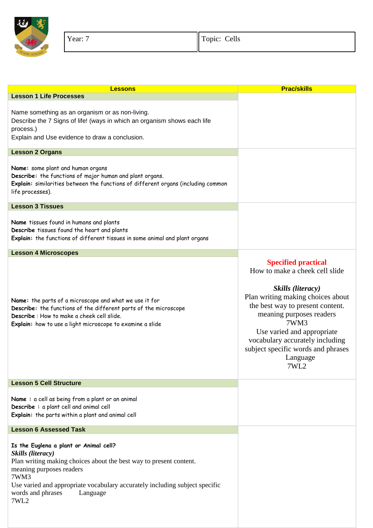

| <b>Lessons</b>                                                                                                                                                                                                                                                                                | <b>Prac/skills</b>                                                                                                                                                                                                                                                                                                        |
|-----------------------------------------------------------------------------------------------------------------------------------------------------------------------------------------------------------------------------------------------------------------------------------------------|---------------------------------------------------------------------------------------------------------------------------------------------------------------------------------------------------------------------------------------------------------------------------------------------------------------------------|
| <b>Lesson 1 Life Processes</b>                                                                                                                                                                                                                                                                |                                                                                                                                                                                                                                                                                                                           |
| Name something as an organism or as non-living.<br>Describe the 7 Signs of life! (ways in which an organism shows each life<br>process.)<br>Explain and Use evidence to draw a conclusion.                                                                                                    |                                                                                                                                                                                                                                                                                                                           |
| <b>Lesson 2 Organs</b>                                                                                                                                                                                                                                                                        |                                                                                                                                                                                                                                                                                                                           |
| Name: some plant and human organs<br>Describe: the functions of major human and plant organs.<br>Explain: similarities between the functions of different organs (including common<br>life processes).                                                                                        |                                                                                                                                                                                                                                                                                                                           |
| <b>Lesson 3 Tissues</b>                                                                                                                                                                                                                                                                       |                                                                                                                                                                                                                                                                                                                           |
| Name tissues found in humans and plants<br>Describe tissues found the heart and plants<br>Explain: the functions of different tissues in some animal and plant organs                                                                                                                         |                                                                                                                                                                                                                                                                                                                           |
| <b>Lesson 4 Microscopes</b>                                                                                                                                                                                                                                                                   |                                                                                                                                                                                                                                                                                                                           |
| Name: the parts of a microscope and what we use it for<br>Describe: the functions of the different parts of the microscope<br>Describe: How to make a cheek cell slide.<br>Explain: how to use a light microscope to examine a slide                                                          | <b>Specified practical</b><br>How to make a cheek cell slide<br>Skills (literacy)<br>Plan writing making choices about<br>the best way to present content.<br>meaning purposes readers<br>7WM3<br>Use varied and appropriate<br>vocabulary accurately including<br>subject specific words and phrases<br>Language<br>7WL2 |
| <b>Lesson 5 Cell Structure</b>                                                                                                                                                                                                                                                                |                                                                                                                                                                                                                                                                                                                           |
| Name: a cell as being from a plant or an animal<br>Describe: a plant cell and animal cell<br>Explain: the parts within a plant and animal cell                                                                                                                                                |                                                                                                                                                                                                                                                                                                                           |
| <b>Lesson 6 Assessed Task</b>                                                                                                                                                                                                                                                                 |                                                                                                                                                                                                                                                                                                                           |
| Is the Euglena a plant or Animal cell?<br>Skills (literacy)<br>Plan writing making choices about the best way to present content.<br>meaning purposes readers<br>7WM3<br>Use varied and appropriate vocabulary accurately including subject specific<br>words and phrases<br>Language<br>7WL2 |                                                                                                                                                                                                                                                                                                                           |